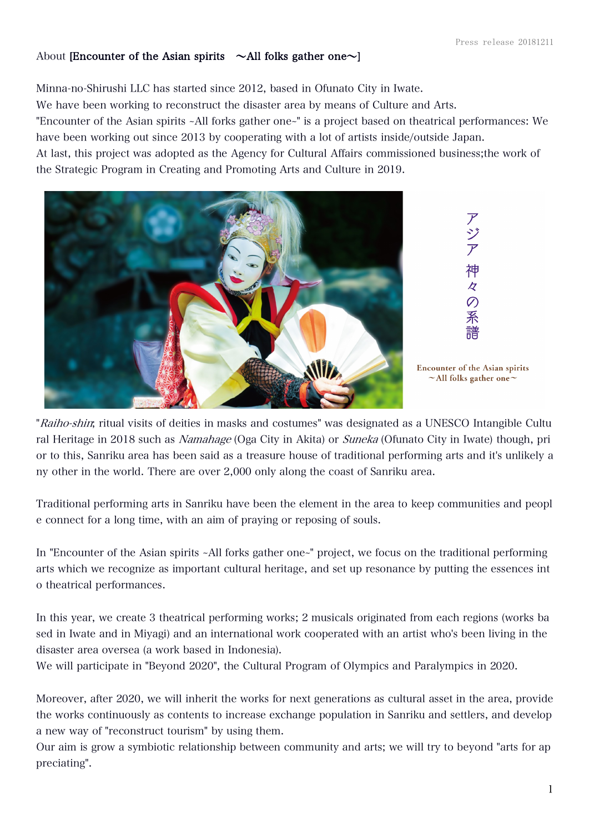## About [Encounter of the Asian spirits  $\sim$  All folks gather one $\sim$ ]

Minna-no-Shirushi LLC has started since 2012, based in Ofunato City in Iwate. We have been working to reconstruct the disaster area by means of Culture and Arts. "Encounter of the Asian spirits ~All forks gather one~" is a project based on theatrical performances: We have been working out since 2013 by cooperating with a lot of artists inside/outside Japan. At last, this project was adopted as the Agency for Cultural Affairs commissioned business;the work of

the Strategic Program in Creating and Promoting Arts and Culture in 2019.



神 **Z** 

**Encounter of the Asian spirits**  $\sim$  All folks gather one $\sim$ 

"Raiho-shin; ritual visits of deities in masks and costumes" was designated as a UNESCO Intangible Cultu ral Heritage in 2018 such as Namahage (Oga City in Akita) or Suneka (Ofunato City in Iwate) though, pri or to this, Sanriku area has been said as a treasure house of traditional performing arts and it's unlikely a ny other in the world. There are over 2,000 only along the coast of Sanriku area.

Traditional performing arts in Sanriku have been the element in the area to keep communities and peopl e connect for a long time, with an aim of praying or reposing of souls.

In "Encounter of the Asian spirits ~All forks gather one~" project, we focus on the traditional performing arts which we recognize as important cultural heritage, and set up resonance by putting the essences int o theatrical performances.

In this year, we create 3 theatrical performing works; 2 musicals originated from each regions (works ba sed in Iwate and in Miyagi) and an international work cooperated with an artist who's been living in the disaster area oversea (a work based in Indonesia).

We will participate in "Beyond 2020", the Cultural Program of Olympics and Paralympics in 2020.

Moreover, after 2020, we will inherit the works for next generations as cultural asset in the area, provide the works continuously as contents to increase exchange population in Sanriku and settlers, and develop a new way of "reconstruct tourism" by using them.

Our aim is grow a symbiotic relationship between community and arts; we will try to beyond "arts for ap preciating".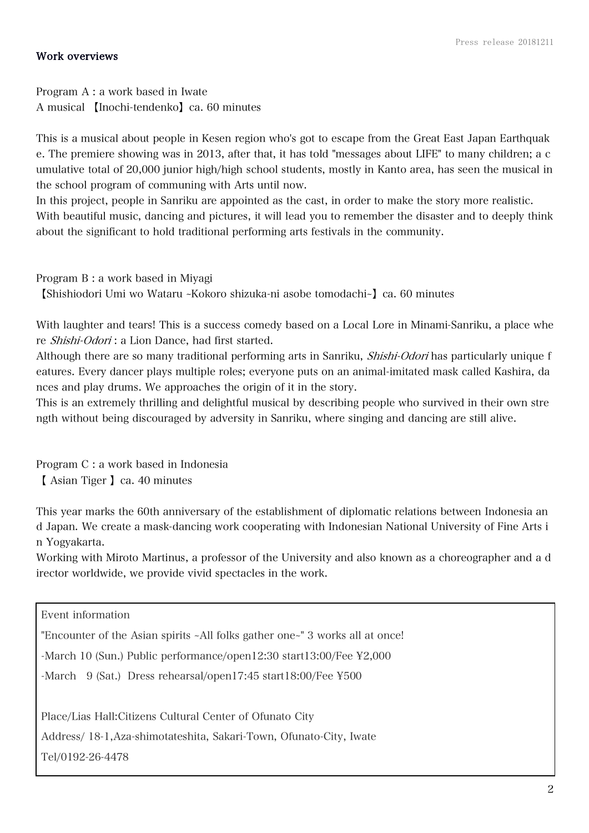## Work overviews

Program A : a work based in Iwate A musical 【Inochi-tendenko】ca. 60 minutes

This is a musical about people in Kesen region who's got to escape from the Great East Japan Earthquak e. The premiere showing was in 2013, after that, it has told "messages about LIFE" to many children; a c umulative total of 20,000 junior high/high school students, mostly in Kanto area, has seen the musical in the school program of communing with Arts until now.

In this project, people in Sanriku are appointed as the cast, in order to make the story more realistic. With beautiful music, dancing and pictures, it will lead you to remember the disaster and to deeply think about the significant to hold traditional performing arts festivals in the community.

Program B : a work based in Miyagi

【Shishiodori Umi wo Wataru ~Kokoro shizuka-ni asobe tomodachi~】ca. 60 minutes

With laughter and tears! This is a success comedy based on a Local Lore in Minami-Sanriku, a place whe re Shishi-Odori : a Lion Dance, had first started.

Although there are so many traditional performing arts in Sanriku, Shishi-Odori has particularly unique f eatures. Every dancer plays multiple roles; everyone puts on an animal-imitated mask called Kashira, da nces and play drums. We approaches the origin of it in the story.

This is an extremely thrilling and delightful musical by describing people who survived in their own stre ngth without being discouraged by adversity in Sanriku, where singing and dancing are still alive.

Program C : a work based in Indonesia 【 Asian Tiger 】ca. 40 minutes

This year marks the 60th anniversary of the establishment of diplomatic relations between Indonesia an d Japan. We create a mask-dancing work cooperating with Indonesian National University of Fine Arts i n Yogyakarta.

Working with Miroto Martinus, a professor of the University and also known as a choreographer and a d irector worldwide, we provide vivid spectacles in the work.

Event information

"Encounter of the Asian spirits ~All folks gather one~" 3 works all at once!

-March 10 (Sun.) Public performance/open12:30 start13:00/Fee ¥2,000

-March 9 (Sat.) Dress rehearsal/open17:45 start18:00/Fee ¥500

Place/Lias Hall:Citizens Cultural Center of Ofunato City

Address/ 18-1,Aza-shimotateshita, Sakari-Town, Ofunato-City, Iwate

Tel/0192-26-4478